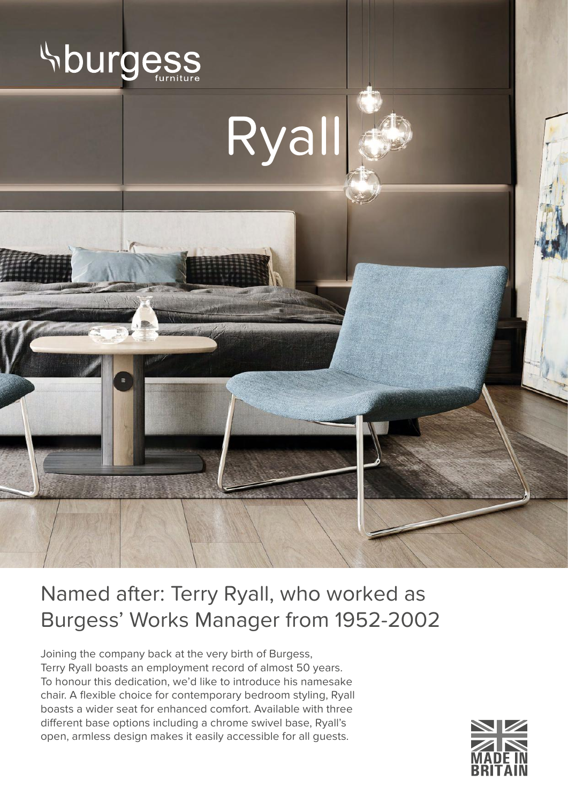



## Named after: Terry Ryall, who worked as Burgess' Works Manager from 1952-2002

Joining the company back at the very birth of Burgess, Terry Ryall boasts an employment record of almost 50 years. To honour this dedication, we'd like to introduce his namesake chair. A flexible choice for contemporary bedroom styling, Ryall boasts a wider seat for enhanced comfort. Available with three different base options including a chrome swivel base, Ryall's open, armless design makes it easily accessible for all guests.